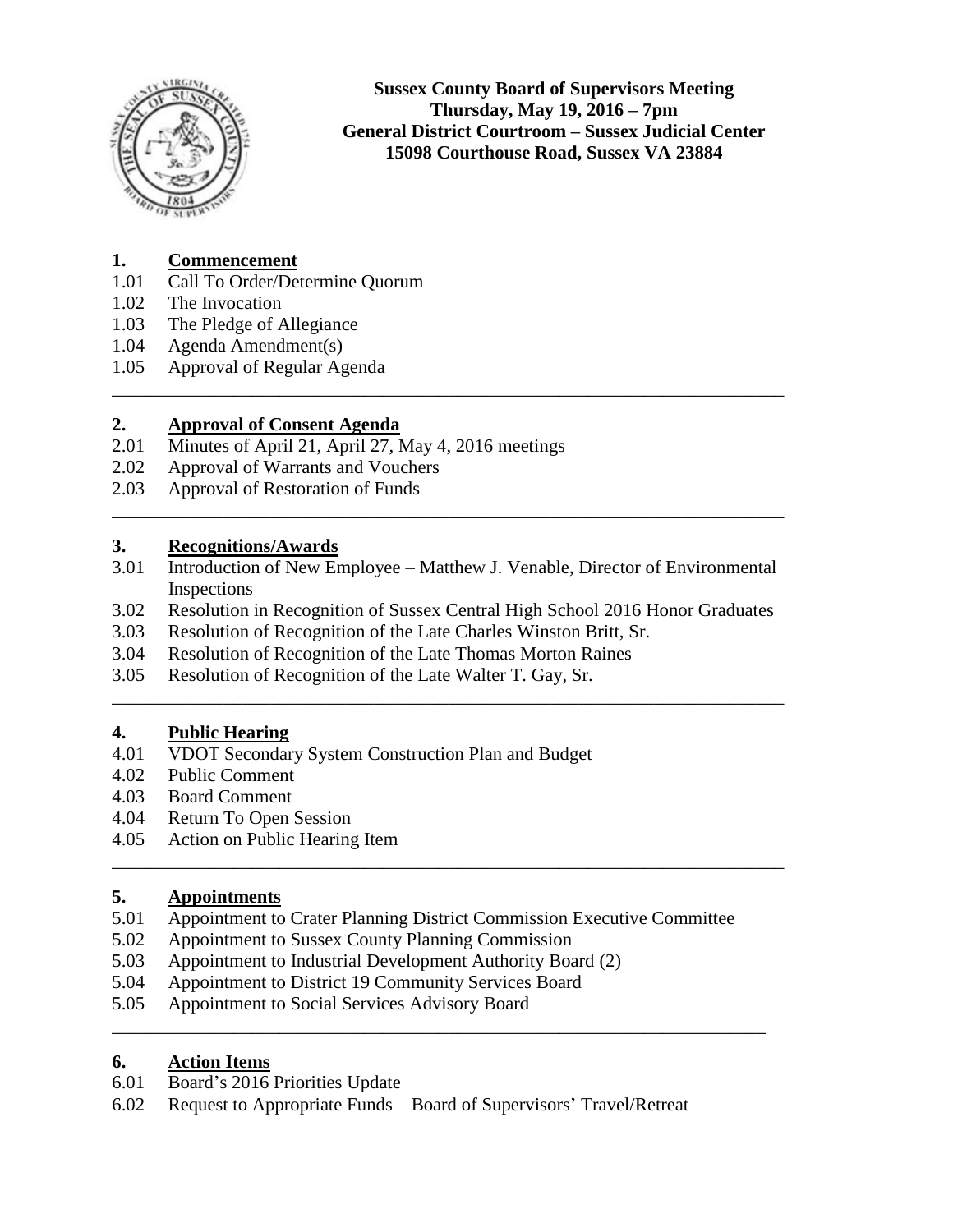

**Sussex County Board of Supervisors Meeting Thursday, May 19, 2016 – 7pm General District Courtroom – Sussex Judicial Center 15098 Courthouse Road, Sussex VA 23884**

# **1. Commencement**

- 1.01 Call To Order/Determine Quorum
- 1.02 The Invocation
- 1.03 The Pledge of Allegiance
- 1.04 Agenda Amendment(s)
- 1.05 Approval of Regular Agenda

### **2. Approval of Consent Agenda**

- 2.01 Minutes of April 21, April 27, May 4, 2016 meetings
- 2.02 Approval of Warrants and Vouchers
- 2.03 Approval of Restoration of Funds

# **3. Recognitions/Awards**

3.01 Introduction of New Employee – Matthew J. Venable, Director of Environmental Inspections

\_\_\_\_\_\_\_\_\_\_\_\_\_\_\_\_\_\_\_\_\_\_\_\_\_\_\_\_\_\_\_\_\_\_\_\_\_\_\_\_\_\_\_\_\_\_\_\_\_\_\_\_\_\_\_\_\_\_\_\_\_\_\_\_\_\_\_\_\_\_\_\_

\_\_\_\_\_\_\_\_\_\_\_\_\_\_\_\_\_\_\_\_\_\_\_\_\_\_\_\_\_\_\_\_\_\_\_\_\_\_\_\_\_\_\_\_\_\_\_\_\_\_\_\_\_\_\_\_\_\_\_\_\_\_\_\_\_\_\_\_\_\_\_\_

3.02 Resolution in Recognition of Sussex Central High School 2016 Honor Graduates

\_\_\_\_\_\_\_\_\_\_\_\_\_\_\_\_\_\_\_\_\_\_\_\_\_\_\_\_\_\_\_\_\_\_\_\_\_\_\_\_\_\_\_\_\_\_\_\_\_\_\_\_\_\_\_\_\_\_\_\_\_\_\_\_\_\_\_\_\_\_\_\_

\_\_\_\_\_\_\_\_\_\_\_\_\_\_\_\_\_\_\_\_\_\_\_\_\_\_\_\_\_\_\_\_\_\_\_\_\_\_\_\_\_\_\_\_\_\_\_\_\_\_\_\_\_\_\_\_\_\_\_\_\_\_\_\_\_\_\_\_\_\_\_\_

- 3.03 Resolution of Recognition of the Late Charles Winston Britt, Sr.
- 3.04 Resolution of Recognition of the Late Thomas Morton Raines
- 3.05 Resolution of Recognition of the Late Walter T. Gay, Sr.

### **4. Public Hearing**

- 4.01 VDOT Secondary System Construction Plan and Budget
- 4.02 Public Comment
- 4.03 Board Comment
- 4.04 Return To Open Session
- 4.05 Action on Public Hearing Item

### **5. Appointments**

5.01 Appointment to Crater Planning District Commission Executive Committee

\_\_\_\_\_\_\_\_\_\_\_\_\_\_\_\_\_\_\_\_\_\_\_\_\_\_\_\_\_\_\_\_\_\_\_\_\_\_\_\_\_\_\_\_\_\_\_\_\_\_\_\_\_\_\_\_\_\_\_\_\_\_\_\_\_\_\_\_\_\_

- 5.02 Appointment to Sussex County Planning Commission
- 5.03 Appointment to Industrial Development Authority Board (2)
- 5.04 Appointment to District 19 Community Services Board
- 5.05 Appointment to Social Services Advisory Board

### **6. Action Items**

- 6.01 Board's 2016 Priorities Update
- 6.02 Request to Appropriate Funds Board of Supervisors' Travel/Retreat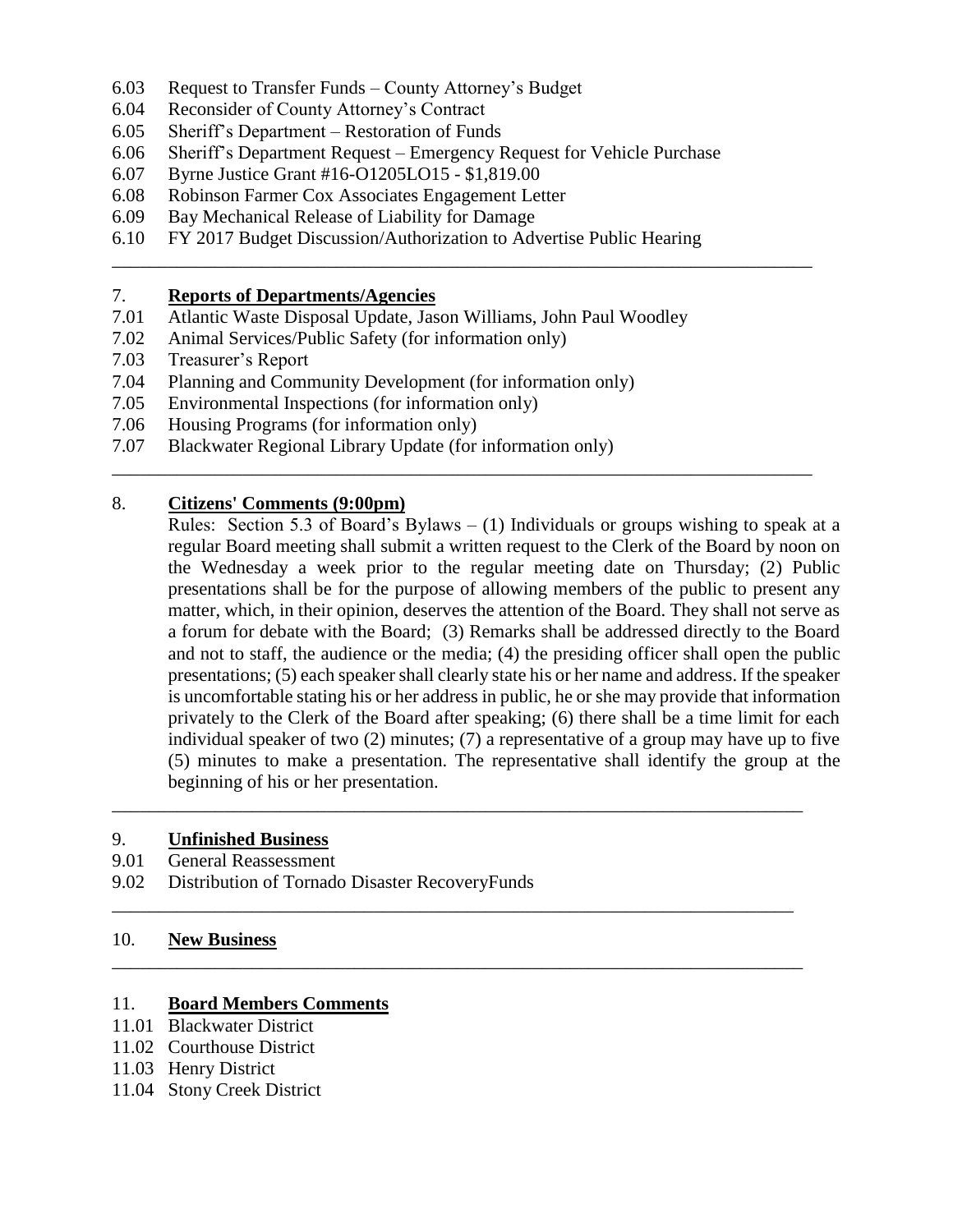- 6.03 Request to Transfer Funds County Attorney's Budget
- 6.04 Reconsider of County Attorney's Contract
- 6.05 Sheriff's Department Restoration of Funds
- 6.06 Sheriff's Department Request Emergency Request for Vehicle Purchase
- 6.07 Byrne Justice Grant #16-O1205LO15 \$1,819.00
- 6.08 Robinson Farmer Cox Associates Engagement Letter
- 6.09 Bay Mechanical Release of Liability for Damage
- 6.10 FY 2017 Budget Discussion/Authorization to Advertise Public Hearing

\_\_\_\_\_\_\_\_\_\_\_\_\_\_\_\_\_\_\_\_\_\_\_\_\_\_\_\_\_\_\_\_\_\_\_\_\_\_\_\_\_\_\_\_\_\_\_\_\_\_\_\_\_\_\_\_\_\_\_\_\_\_\_\_\_\_\_\_\_\_\_\_\_\_\_

\_\_\_\_\_\_\_\_\_\_\_\_\_\_\_\_\_\_\_\_\_\_\_\_\_\_\_\_\_\_\_\_\_\_\_\_\_\_\_\_\_\_\_\_\_\_\_\_\_\_\_\_\_\_\_\_\_\_\_\_\_\_\_\_\_\_\_\_\_\_\_\_\_\_\_

\_\_\_\_\_\_\_\_\_\_\_\_\_\_\_\_\_\_\_\_\_\_\_\_\_\_\_\_\_\_\_\_\_\_\_\_\_\_\_\_\_\_\_\_\_\_\_\_\_\_\_\_\_\_\_\_\_\_\_\_\_\_\_\_\_\_\_\_\_\_\_\_\_\_

\_\_\_\_\_\_\_\_\_\_\_\_\_\_\_\_\_\_\_\_\_\_\_\_\_\_\_\_\_\_\_\_\_\_\_\_\_\_\_\_\_\_\_\_\_\_\_\_\_\_\_\_\_\_\_\_\_\_\_\_\_\_\_\_\_\_\_\_\_\_\_\_\_

\_\_\_\_\_\_\_\_\_\_\_\_\_\_\_\_\_\_\_\_\_\_\_\_\_\_\_\_\_\_\_\_\_\_\_\_\_\_\_\_\_\_\_\_\_\_\_\_\_\_\_\_\_\_\_\_\_\_\_\_\_\_\_\_\_\_\_\_\_\_\_\_\_\_

### 7. **Reports of Departments/Agencies**

- 7.01 Atlantic Waste Disposal Update, Jason Williams, John Paul Woodley
- 7.02 Animal Services/Public Safety (for information only)
- 7.03 Treasurer's Report
- 7.04 Planning and Community Development (for information only)
- 7.05 Environmental Inspections (for information only)
- 7.06 Housing Programs (for information only)
- 7.07 Blackwater Regional Library Update (for information only)

# 8. **Citizens' Comments (9:00pm)**

Rules: Section 5.3 of Board's Bylaws  $- (1)$  Individuals or groups wishing to speak at a regular Board meeting shall submit a written request to the Clerk of the Board by noon on the Wednesday a week prior to the regular meeting date on Thursday; (2) Public presentations shall be for the purpose of allowing members of the public to present any matter, which, in their opinion, deserves the attention of the Board. They shall not serve as a forum for debate with the Board; (3) Remarks shall be addressed directly to the Board and not to staff, the audience or the media; (4) the presiding officer shall open the public presentations; (5) each speaker shall clearly state his or her name and address. If the speaker is uncomfortable stating his or her address in public, he or she may provide that information privately to the Clerk of the Board after speaking; (6) there shall be a time limit for each individual speaker of two (2) minutes; (7) a representative of a group may have up to five (5) minutes to make a presentation. The representative shall identify the group at the beginning of his or her presentation.

# 9. **Unfinished Business**

- 9.01 General Reassessment
- 9.02 Distribution of Tornado Disaster RecoveryFunds

### 10. **New Business**

### 11. **Board Members Comments**

- 11.01 Blackwater District
- 11.02 Courthouse District
- 11.03 Henry District
- 11.04 Stony Creek District